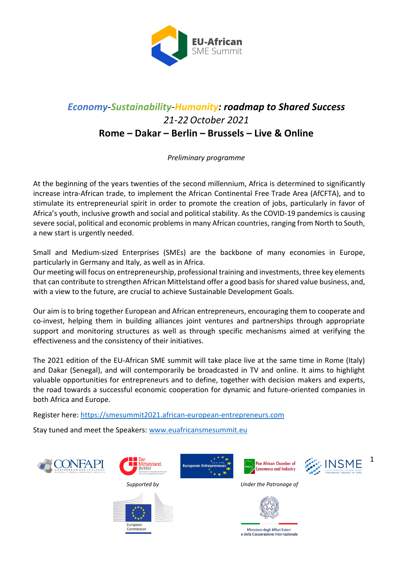

# *Economy-Sustainability-Humanity: roadmap to Shared Success 21-22October 2021* **Rome – Dakar – Berlin – Brussels – Live & Online**

*Preliminary programme*

At the beginning of the years twenties of the second millennium, Africa is determined to significantly increase intra-African trade, to implement the African Continental Free Trade Area (AfCFTA), and to stimulate its entrepreneurial spirit in order to promote the creation of jobs, particularly in favor of Africa's youth, inclusive growth and social and political stability. As the COVID-19 pandemics is causing severe social, political and economic problems in many African countries, ranging from North to South, a new start is urgently needed.

Small and Medium-sized Enterprises (SMEs) are the backbone of many economies in Europe, particularly in Germany and Italy, as well as in Africa.

Our meeting will focus on entrepreneurship, professional training and investments, three key elements that can contribute to strengthen African Mittelstand offer a good basis for shared value business, and, with a view to the future, are crucial to achieve Sustainable Development Goals.

Our aim is to bring together European and African entrepreneurs, encouraging them to cooperate and co-invest, helping them in building alliances joint ventures and partnerships through appropriate support and monitoring structures as well as through specific mechanisms aimed at verifying the effectiveness and the consistency of their initiatives.

The 2021 edition of the EU-African SME summit will take place live at the same time in Rome (Italy) and Dakar (Senegal), and will contemporarily be broadcasted in TV and online. It aims to highlight valuable opportunities for entrepreneurs and to define, together with decision makers and experts, the road towards a successful economic cooperation for dynamic and future-oriented companies in both Africa and Europe.

Register here: [https://smesummit2021.african-european-entrepreneurs.com](https://smesummit2021.african-european-entrepreneurs.com/)

Stay tuned and meet the Speakers[: www.euafricansmesummit.eu](http://www.euafricansmesummit.eu/)





.<br>uropea Commission







 *Supported by Under the Patronage of*



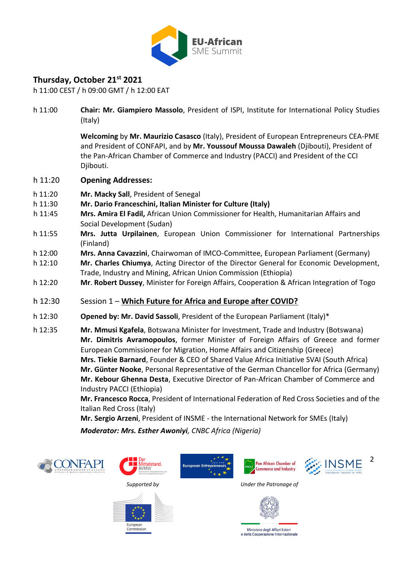

## **Thursday, October 21st 2021**

h 11:00 CEST / h 09:00 GMT / h 12:00 EAT

h 11:00 **Chair: Mr. Giampiero Massolo**, President of ISPI, Institute for International Policy Studies (Italy)

> **Welcoming** by **Mr. Maurizio Casasco** (Italy), President of European Entrepreneurs CEA-PME and President of CONFAPI, and by **Mr. Youssouf Moussa Dawaleh** (Djibouti), President of the Pan-African Chamber of Commerce and Industry (PACCI) and President of the CCI Djibouti.

- h 11:20 **Opening Addresses:**
- h 11:20 **Mr. Macky Sall**, President of Senegal
- h 11:30 **Mr. Dario Franceschini, Italian Minister for Culture (Italy)**
- h 11:45 **Mrs. Amira El Fadil,** African Union Commissioner for Health, Humanitarian Affairs and Social Development (Sudan)
- h 11:55 **Mrs. Jutta Urpilainen**, European Union Commissioner for International Partnerships (Finland)
- h 12:00 **Mrs. Anna Cavazzini**, Chairwoman of IMCO-Committee, European Parliament (Germany)
- h 12:10 **Mr. Charles Chiumya**, Acting Director of the Director General for Economic Development, Trade, Industry and Mining, African Union Commission (Ethiopia)
- h 12:20 **Mr**. **Robert Dussey**, Minister for Foreign Affairs, Cooperation & African Integration of Togo
- h 12:30 Session 1 **Which Future for Africa and Europe after COVID?**
- h 12:30 **Opened by: Mr. David Sassoli**, President of the European Parliament (Italy)\*
- h 12:35 **Mr. Mmusi Kgafela**, Botswana Minister for Investment, Trade and Industry (Botswana) **Mr. Dimitris Avramopoulos**, former Minister of Foreign Affairs of Greece and former European Commissioner for Migration, Home Affairs and Citizenship (Greece) **Mrs. Tiekie Barnard**, Founder & CEO of Shared Value Africa Initiative SVAI (South Africa) **Mr. Günter Nooke**, Personal Representative of the German Chancellor for Africa (Germany) **Mr. Kebour Ghenna Desta**, Executive Director of Pan-African Chamber of Commerce and Industry PACCI (Ethiopia)

**Mr. Francesco Rocca**, President of International Federation of Red Cross Societies and of the Italian Red Cross (Italy)

**Mr. Sergio Arzeni**, President of INSME - the International Network for SMEs (Italy)

*Moderator: Mrs. Esther Awoniyi, CNBC Africa (Nigeria)*











 *Supported by Under the Patronage of*



Ministero degli Affari Esteri e della Cooperazione Internazionale

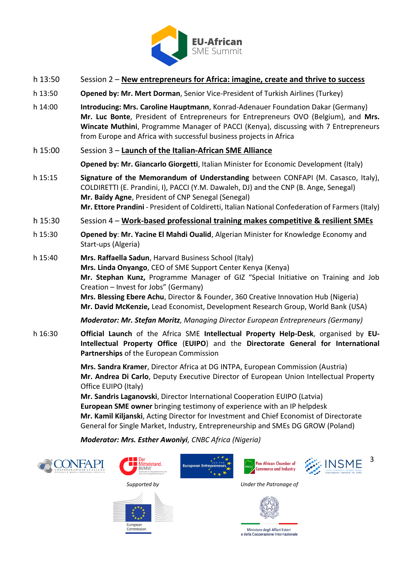

- h 13:50 Session 2 **New entrepreneurs for Africa: imagine, create and thrive to success**
- h 13:50 **Opened by: Mr. Mert Dorman**, Senior Vice-President of Turkish Airlines (Turkey)
- h 14:00 **Introducing: Mrs. Caroline Hauptmann**, Konrad-Adenauer Foundation Dakar (Germany) **Mr. Luc Bonte**, President of Entrepreneurs for Entrepreneurs OVO (Belgium), and **Mrs. Wincate Muthini**, Programme Manager of PACCI (Kenya), discussing with 7 Entrepreneurs from Europe and Africa with successful business projects in Africa
- h 15:00 Session 3 **Launch of the Italian-African SME Alliance**

**Opened by: Mr. Giancarlo Giorgetti**, Italian Minister for Economic Development (Italy)

- h 15:15 **Signature of the Memorandum of Understanding** between CONFAPI (M. Casasco, Italy), COLDIRETTI (E. Prandini, I), PACCI (Y.M. Dawaleh, DJ) and the CNP (B. Ange, Senegal) **Mr. Baïdy Agne**, President of CNP Senegal (Senegal) **Mr. Ettore Prandini** - President of Coldiretti, Italian National Confederation of Farmers (Italy)
- h 15:30 Session 4 **Work-based professional training makes competitive & resilient SMEs**
- h 15:30 **Opened by**: **Mr. Yacine El Mahdi Oualid**, Algerian Minister for Knowledge Economy and Start-ups (Algeria)
- h 15:40 **Mrs. Raffaella Sadun**, Harvard Business School (Italy) **Mrs. Linda Onyango**, CEO of SME Support Center Kenya (Kenya) **Mr. Stephan Kunz,** Programme Manager of GIZ "Special Initiative on Training and Job Creation – Invest for Jobs" (Germany) **Mrs. Blessing Ebere Achu**, Director & Founder, 360 Creative Innovation Hub (Nigeria) **Mr. David McKenzie,** Lead Economist, Development Research Group, World Bank (USA)

*Moderator: Mr. Stefan Moritz, Managing Director European Entrepreneurs (Germany)*

h 16:30 **Official Launch** of the Africa SME **Intellectual Property Help-Desk**, organised by **EU-Intellectual Property Office** (**EUIPO**) and the **Directorate General for International Partnerships** of the European Commission

> **Mrs. Sandra Kramer**, Director Africa at DG INTPA, European Commission (Austria) **Mr. Andrea Di Carlo**, Deputy Executive Director of European Union Intellectual Property Office EUIPO (Italy)

**Mr. Sandris Laganovski**, Director International Cooperation EUIPO (Latvia) **European SME owner** bringing testimony of experience with an IP helpdesk **Mr. Kamil Kiljanski**, Acting Director for Investment and Chief Economist of Directorate General for Single Market, Industry, Entrepreneurship and SMEs DG GROW (Poland)

*Moderator: Mrs. Esther Awoniyi, CNBC Africa (Nigeria)*





**uropear** Commission







 *Supported by Under the Patronage of*

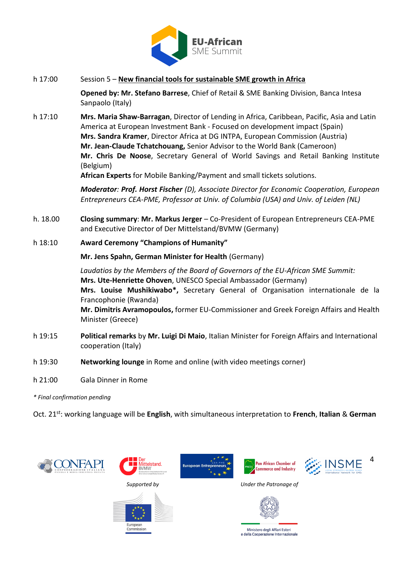

### h 17:00 Session 5 – **New financial tools for sustainable SME growth in Africa**

**Opened by: Mr. Stefano Barrese**, Chief of Retail & SME Banking Division, Banca Intesa Sanpaolo (Italy)

h 17:10 **Mrs. Maria Shaw-Barragan**, Director of Lending in Africa, Caribbean, Pacific, Asia and Latin America at European Investment Bank - Focused on development impact (Spain) **Mrs. Sandra Kramer**, Director Africa at DG INTPA, European Commission (Austria) **Mr. Jean-Claude Tchatchouang,** Senior Advisor to the World Bank (Cameroon) **Mr. Chris De Noose**, Secretary General of World Savings and Retail Banking Institute (Belgium)

**African Experts** for Mobile Banking/Payment and small tickets solutions.

*Moderator: Prof. Horst Fischer (D), Associate Director for Economic Cooperation, European Entrepreneurs CEA-PME, Professor at Univ. of Columbia (USA) and Univ. of Leiden (NL)*

h. 18.00 **Closing summary**: **Mr. Markus Jerger** – Co-President of European Entrepreneurs CEA-PME and Executive Director of Der Mittelstand/BVMW (Germany)

### h 18:10 **Award Ceremony "Champions of Humanity"**

**Mr. Jens Spahn, German Minister for Health** (Germany)

*Laudatios by the Members of the Board of Governors of the EU-African SME Summit:* **Mrs. Ute-Henriette Ohoven**, UNESCO Special Ambassador (Germany) **Mrs. Louise Mushikiwabo\*,** Secretary General of Organisation internationale de la Francophonie (Rwanda) **Mr. Dimitris Avramopoulos,** former EU-Commissioner and Greek Foreign Affairs and Health Minister (Greece)

- h 19:15 **Political remarks** by **Mr. Luigi Di Maio**, Italian Minister for Foreign Affairs and International cooperation (Italy)
- h 19:30 **Networking lounge** in Rome and online (with video meetings corner)
- h 21:00 Gala Dinner in Rome

#### *\* Final confirmation pending*

Oct. 21st: working language will be **English**, with simultaneous interpretation to **French**, **Italian** & **German**











 *Supported by Under the Patronage of*